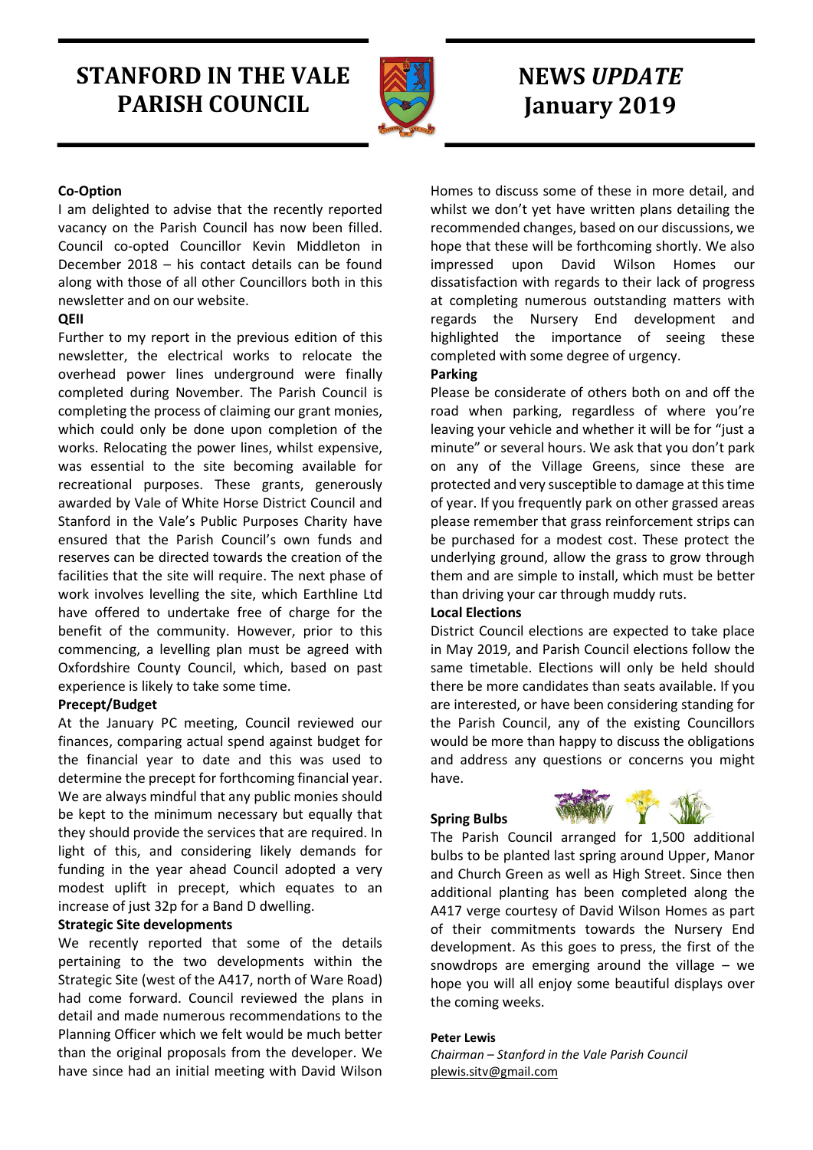# STANFORD IN THE VALE PARISH COUNCIL



# NEWS UPDATE January 2019

## Co-Option

I am delighted to advise that the recently reported vacancy on the Parish Council has now been filled. Council co-opted Councillor Kevin Middleton in December 2018 – his contact details can be found along with those of all other Councillors both in this newsletter and on our website.

## QEII

Further to my report in the previous edition of this newsletter, the electrical works to relocate the overhead power lines underground were finally completed during November. The Parish Council is completing the process of claiming our grant monies, which could only be done upon completion of the works. Relocating the power lines, whilst expensive, was essential to the site becoming available for recreational purposes. These grants, generously awarded by Vale of White Horse District Council and Stanford in the Vale's Public Purposes Charity have ensured that the Parish Council's own funds and reserves can be directed towards the creation of the facilities that the site will require. The next phase of work involves levelling the site, which Earthline Ltd have offered to undertake free of charge for the benefit of the community. However, prior to this commencing, a levelling plan must be agreed with Oxfordshire County Council, which, based on past experience is likely to take some time.

## Precept/Budget

At the January PC meeting, Council reviewed our finances, comparing actual spend against budget for the financial year to date and this was used to determine the precept for forthcoming financial year. We are always mindful that any public monies should be kept to the minimum necessary but equally that they should provide the services that are required. In light of this, and considering likely demands for funding in the year ahead Council adopted a very modest uplift in precept, which equates to an increase of just 32p for a Band D dwelling.

## Strategic Site developments

We recently reported that some of the details pertaining to the two developments within the Strategic Site (west of the A417, north of Ware Road) had come forward. Council reviewed the plans in detail and made numerous recommendations to the Planning Officer which we felt would be much better than the original proposals from the developer. We have since had an initial meeting with David Wilson Homes to discuss some of these in more detail, and whilst we don't yet have written plans detailing the recommended changes, based on our discussions, we hope that these will be forthcoming shortly. We also impressed upon David Wilson Homes our dissatisfaction with regards to their lack of progress at completing numerous outstanding matters with regards the Nursery End development and highlighted the importance of seeing these completed with some degree of urgency.

## Parking

Please be considerate of others both on and off the road when parking, regardless of where you're leaving your vehicle and whether it will be for "just a minute" or several hours. We ask that you don't park on any of the Village Greens, since these are protected and very susceptible to damage at this time of year. If you frequently park on other grassed areas please remember that grass reinforcement strips can be purchased for a modest cost. These protect the underlying ground, allow the grass to grow through them and are simple to install, which must be better than driving your car through muddy ruts.

## Local Elections

District Council elections are expected to take place in May 2019, and Parish Council elections follow the same timetable. Elections will only be held should there be more candidates than seats available. If you are interested, or have been considering standing for the Parish Council, any of the existing Councillors would be more than happy to discuss the obligations and address any questions or concerns you might have.

## Spring Bulbs



The Parish Council arranged for 1,500 additional bulbs to be planted last spring around Upper, Manor and Church Green as well as High Street. Since then additional planting has been completed along the A417 verge courtesy of David Wilson Homes as part of their commitments towards the Nursery End development. As this goes to press, the first of the snowdrops are emerging around the village – we hope you will all enjoy some beautiful displays over the coming weeks.

## Peter Lewis

Chairman – Stanford in the Vale Parish Council plewis.sitv@gmail.com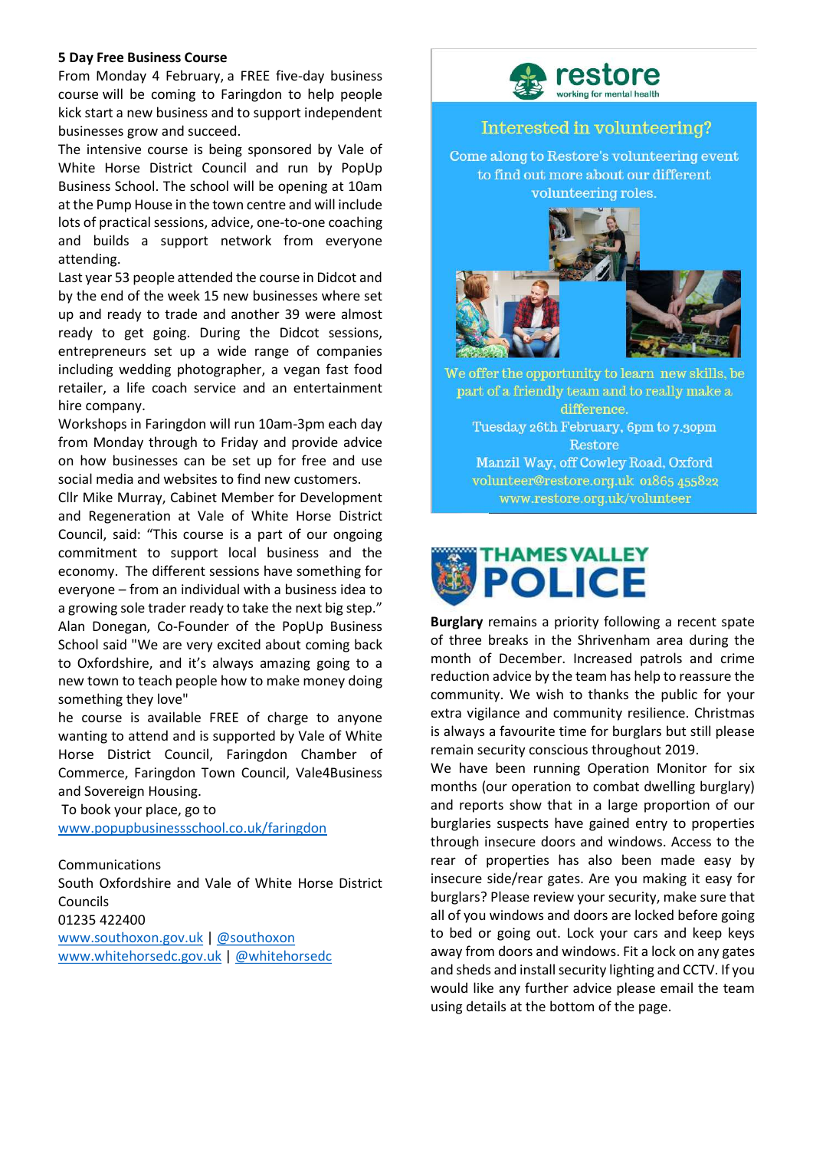#### 5 Day Free Business Course

From Monday 4 February, a FREE five-day business course will be coming to Faringdon to help people kick start a new business and to support independent businesses grow and succeed.

The intensive course is being sponsored by Vale of White Horse District Council and run by PopUp Business School. The school will be opening at 10am at the Pump House in the town centre and will include lots of practical sessions, advice, one-to-one coaching and builds a support network from everyone attending.

Last year 53 people attended the course in Didcot and by the end of the week 15 new businesses where set up and ready to trade and another 39 were almost ready to get going. During the Didcot sessions, entrepreneurs set up a wide range of companies including wedding photographer, a vegan fast food retailer, a life coach service and an entertainment hire company.

Workshops in Faringdon will run 10am-3pm each day from Monday through to Friday and provide advice on how businesses can be set up for free and use social media and websites to find new customers.

Cllr Mike Murray, Cabinet Member for Development and Regeneration at Vale of White Horse District Council, said: "This course is a part of our ongoing commitment to support local business and the economy. The different sessions have something for everyone – from an individual with a business idea to a growing sole trader ready to take the next big step." Alan Donegan, Co-Founder of the PopUp Business School said "We are very excited about coming back to Oxfordshire, and it's always amazing going to a new town to teach people how to make money doing something they love"

he course is available FREE of charge to anyone wanting to attend and is supported by Vale of White Horse District Council, Faringdon Chamber of Commerce, Faringdon Town Council, Vale4Business and Sovereign Housing.

 To book your place, go to www.popupbusinessschool.co.uk/faringdon

## Communications

South Oxfordshire and Vale of White Horse District Councils 01235 422400

www.southoxon.gov.uk | @southoxon www.whitehorsedc.gov.uk | @whitehorsedc



## Interested in volunteering?

Come along to Restore's volunteering event to find out more about our different volunteering roles.



We offer the opportunity to learn new skills, be part of a friendly team and to really make a difference. Tuesday 26th February, 6pm to 7.30pm Restore Manzil Way, off Cowley Road, Oxford volunteer@restore.org.uk 01865 455822 www.restore.org.uk/volunteer



Burglary remains a priority following a recent spate of three breaks in the Shrivenham area during the month of December. Increased patrols and crime reduction advice by the team has help to reassure the community. We wish to thanks the public for your extra vigilance and community resilience. Christmas is always a favourite time for burglars but still please remain security conscious throughout 2019.

We have been running Operation Monitor for six months (our operation to combat dwelling burglary) and reports show that in a large proportion of our burglaries suspects have gained entry to properties through insecure doors and windows. Access to the rear of properties has also been made easy by insecure side/rear gates. Are you making it easy for burglars? Please review your security, make sure that all of you windows and doors are locked before going to bed or going out. Lock your cars and keep keys away from doors and windows. Fit a lock on any gates and sheds and install security lighting and CCTV. If you would like any further advice please email the team using details at the bottom of the page.